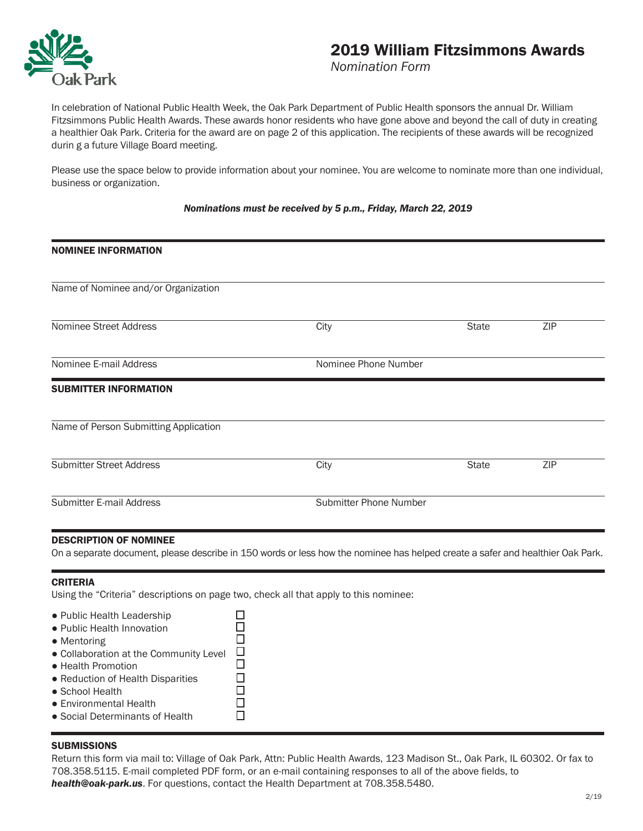

# 2019 William Fitzsimmons Awards

*Nomination Form*

In celebration of National Public Health Week, the Oak Park Department of Public Health sponsors the annual Dr. William Fitzsimmons Public Health Awards. These awards honor residents who have gone above and beyond the call of duty in creating a healthier Oak Park. Criteria for the award are on page 2 of this application. The recipients of these awards will be recognized durin g a future Village Board meeting.

Please use the space below to provide information about your nominee. You are welcome to nominate more than one individual, business or organization.

### *Nominations must be received by 5 p.m., Friday, March 22, 2019*

| <b>NOMINEE INFORMATION</b>            |      |                        |     |  |
|---------------------------------------|------|------------------------|-----|--|
|                                       |      |                        |     |  |
| Name of Nominee and/or Organization   |      |                        |     |  |
| Nominee Street Address                | City | <b>State</b>           | ZIP |  |
| Nominee E-mail Address                |      | Nominee Phone Number   |     |  |
| <b>SUBMITTER INFORMATION</b>          |      |                        |     |  |
| Name of Person Submitting Application |      |                        |     |  |
| <b>Submitter Street Address</b>       | City | <b>State</b>           | ZIP |  |
| Submitter E-mail Address              |      | Submitter Phone Number |     |  |
|                                       |      |                        |     |  |

#### DESCRIPTION OF NOMINEE

On a separate document, please describe in 150 words or less how the nominee has helped create a safer and healthier Oak Park.

#### CRITERIA

Using the "Criteria" descriptions on page two, check all that apply to this nominee:

| • Public Health Leadership             |   |
|----------------------------------------|---|
| • Public Health Innovation             |   |
| $\bullet$ Mentoring                    |   |
| • Collaboration at the Community Level | H |
| • Health Promotion                     |   |
| • Reduction of Health Disparities      |   |
| • School Health                        |   |
| • Environmental Health                 |   |
| • Social Determinants of Health        |   |

## **SUBMISSIONS**

Return this form via mail to: Village of Oak Park, Attn: Public Health Awards, 123 Madison St., Oak Park, IL 60302. Or fax to 708.358.5115. E-mail completed PDF form, or an e-mail containing responses to all of the above fields, to *health@oak-park.us*. For questions, contact the Health Department at 708.358.5480.